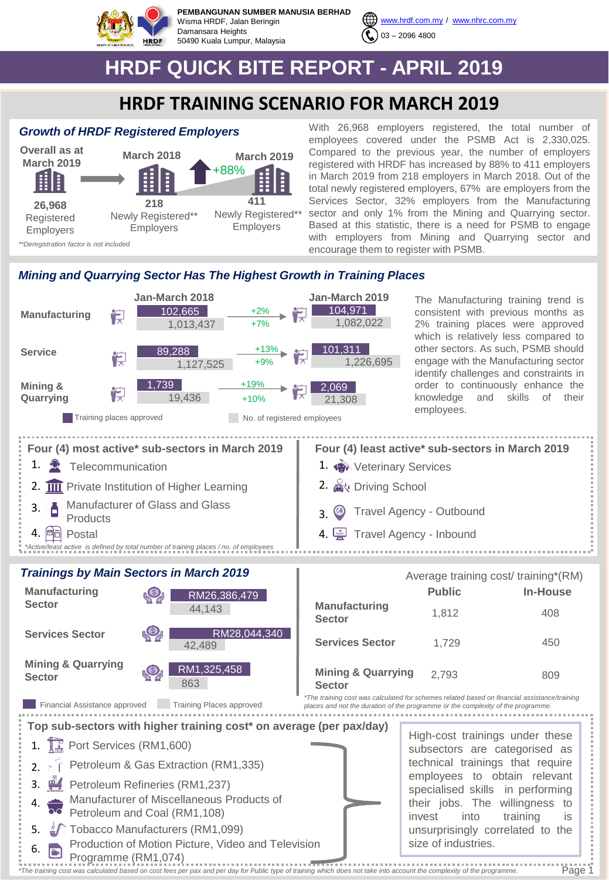

**PEMBANGUNAN SUMBER MANUSIA BERHAD** Wisma HRDF, Jalan Beringin Damansara Heights 50490 Kuala Lumpur, Malaysia



[www.hrdf.com.my](http://www.hrdf.com.my/) / [www.nhrc.com.my](http://www.nhrc.com.my/)

## **HRDF QUICK BITE REPORT - APRIL 2019**

## **HRDF TRAINING SCENARIO FOR MARCH 2019**

## *Growth of HRDF Registered Employers*



With 26,968 employers registered, the total number of employees covered under the PSMB Act is 2,330,025. Compared to the previous year, the number of employers registered with HRDF has increased by 88% to 411 employers in March 2019 from 218 employers in March 2018. Out of the total newly registered employers, 67% are employers from the Services Sector, 32% employers from the Manufacturing sector and only 1% from the Mining and Quarrying sector. Based at this statistic, there is a need for PSMB to engage with employers from Mining and Quarrying sector and encourage them to register with PSMB.

## *Mining and Quarrying Sector Has The Highest Growth in Training Places*